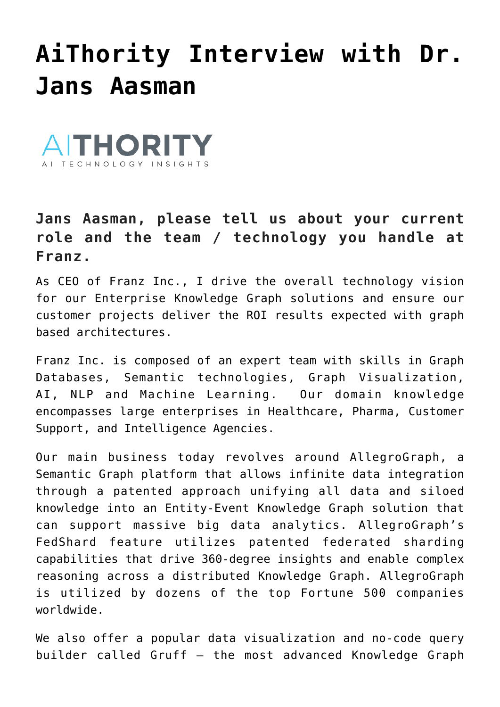## **[AiThority Interview with Dr.](https://allegrograph.com/aithority-interview-with-dr-jans-aasman-ceo-at-franz/) [Jans Aasman](https://allegrograph.com/aithority-interview-with-dr-jans-aasman-ceo-at-franz/)**



## **Jans Aasman, please tell us about your current role and the team / technology you handle at Franz.**

As CEO of Franz Inc., I drive the overall technology vision for our Enterprise [Knowledge Graph solutions](https://aithority.com/tag/Knowledge-Graph-solutions) and ensure our customer projects deliver the ROI results expected with graph based architectures.

Franz Inc. is composed of an expert team with skills in Graph Databases, Semantic technologies, Graph Visualization, AI, [NLP](https://aithority.com/tag/NLP) and [Machine Learning](https://aithority.com/tag/machine-learning/). Our domain knowledge encompasses large enterprises in Healthcare, Pharma, Customer Support, and Intelligence Agencies.

Our main business today revolves around AllegroGraph, a Semantic Graph platform that allows infinite data integration through a patented approach unifying all data and siloed knowledge into an Entity-Event Knowledge Graph solution that can support massive big data analytics. AllegroGraph's FedShard feature utilizes patented federated sharding capabilities that drive 360-degree insights and enable complex reasoning across a distributed Knowledge Graph. AllegroGraph is utilized by dozens of the top Fortune 500 companies worldwide.

We also offer a popular [data visualization](https://aithority.com/tag/data-visualization) and no-code query builder called Gruff – the most advanced Knowledge Graph